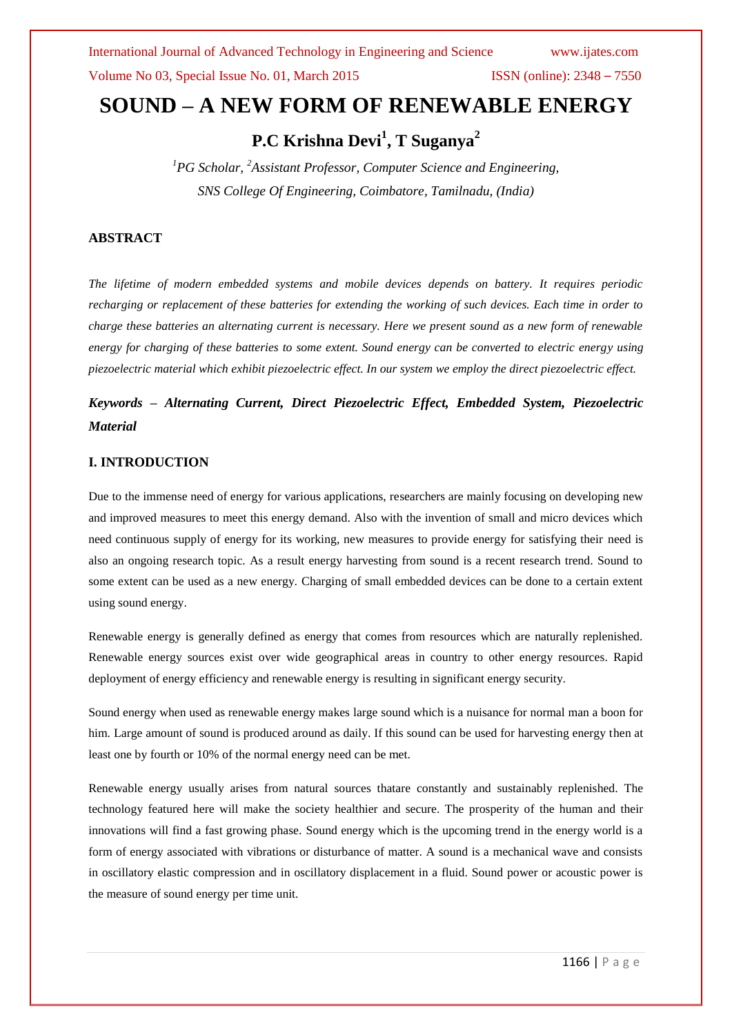## **SOUND – A NEW FORM OF RENEWABLE ENERGY**

**P.C Krishna Devi<sup>1</sup> , T Suganya<sup>2</sup>**

*<sup>1</sup>PG Scholar, <sup>2</sup>Assistant Professor, Computer Science and Engineering, SNS College Of Engineering, Coimbatore, Tamilnadu, (India)*

### **ABSTRACT**

*The lifetime of modern embedded systems and mobile devices depends on battery. It requires periodic recharging or replacement of these batteries for extending the working of such devices. Each time in order to charge these batteries an alternating current is necessary. Here we present sound as a new form of renewable energy for charging of these batteries to some extent. Sound energy can be converted to electric energy using piezoelectric material which exhibit piezoelectric effect. In our system we employ the direct piezoelectric effect.*

## *Keywords – Alternating Current, Direct Piezoelectric Effect, Embedded System, Piezoelectric Material*

### **I. INTRODUCTION**

Due to the immense need of energy for various applications, researchers are mainly focusing on developing new and improved measures to meet this energy demand. Also with the invention of small and micro devices which need continuous supply of energy for its working, new measures to provide energy for satisfying their need is also an ongoing research topic. As a result energy harvesting from sound is a recent research trend. Sound to some extent can be used as a new energy. Charging of small embedded devices can be done to a certain extent using sound energy.

Renewable energy is generally defined as energy that comes from resources which are naturally replenished. Renewable energy sources exist over wide geographical areas in country to other energy resources. Rapid deployment of energy efficiency and renewable energy is resulting in significant energy security.

Sound energy when used as renewable energy makes large sound which is a nuisance for normal man a boon for him. Large amount of sound is produced around as daily. If this sound can be used for harvesting energy then at least one by fourth or 10% of the normal energy need can be met.

Renewable energy usually arises from natural sources thatare constantly and sustainably replenished. The technology featured here will make the society healthier and secure. The prosperity of the human and their innovations will find a fast growing phase. Sound energy which is the upcoming trend in the energy world is a form of energy associated with vibrations or disturbance of matter. A sound is a mechanical wave and consists in oscillatory elastic compression and in oscillatory displacement in a fluid. Sound power or acoustic power is the measure of sound energy per time unit.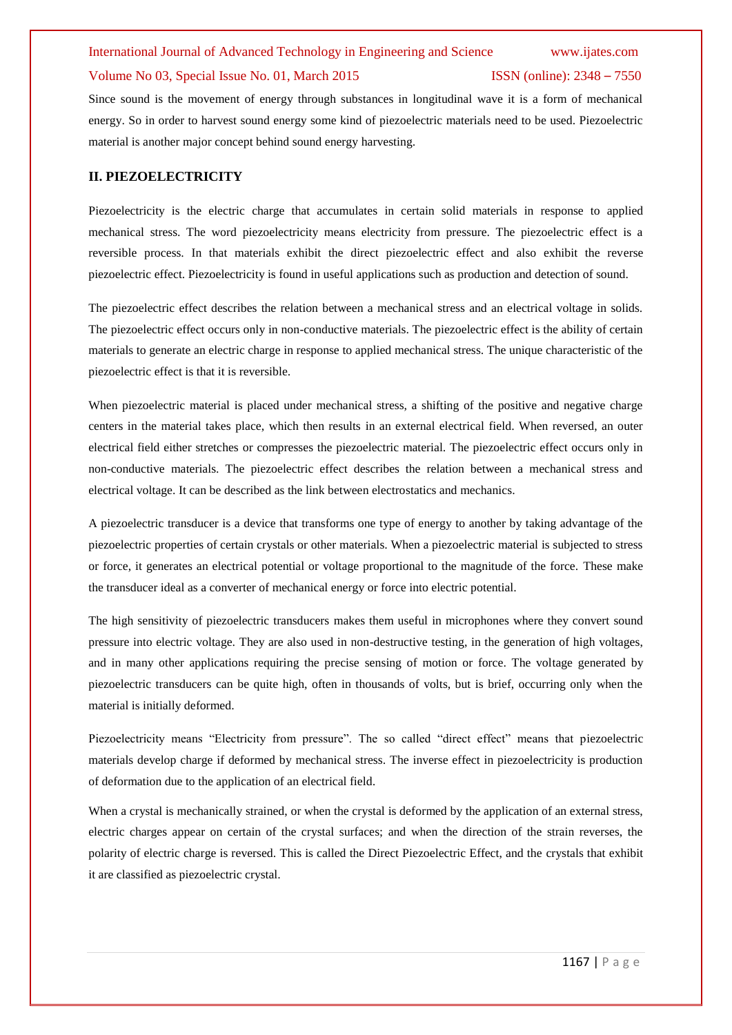## International Journal of Advanced Technology in Engineering and Science www.ijates.com

### Volume No 03, Special Issue No. 01, March 2015 ISSN (online): 2348 – 7550

Since sound is the movement of energy through substances in longitudinal wave it is a form of mechanical energy. So in order to harvest sound energy some kind of piezoelectric materials need to be used. Piezoelectric material is another major concept behind sound energy harvesting.

### **II. PIEZOELECTRICITY**

Piezoelectricity is the electric charge that accumulates in certain solid materials in response to applied mechanical stress. The word piezoelectricity means electricity from pressure. The piezoelectric effect is a reversible process. In that materials exhibit the direct piezoelectric effect and also exhibit the reverse piezoelectric effect. Piezoelectricity is found in useful applications such as production and detection of sound.

The piezoelectric effect describes the relation between a mechanical stress and an electrical voltage in solids. The piezoelectric effect occurs only in non-conductive materials. The piezoelectric effect is the ability of certain materials to generate an electric charge in response to applied mechanical stress. The unique characteristic of the piezoelectric effect is that it is reversible.

When piezoelectric material is placed under mechanical stress, a shifting of the positive and negative charge centers in the material takes place, which then results in an external electrical field. When reversed, an outer electrical field either stretches or compresses the piezoelectric material. The piezoelectric effect occurs only in non-conductive materials. The piezoelectric effect describes the relation between a mechanical stress and electrical voltage. It can be described as the link between electrostatics and mechanics.

A piezoelectric transducer is a device that transforms one type of energy to another by taking advantage of the piezoelectric properties of certain crystals or other materials. When a piezoelectric material is subjected to stress or force, it generates an electrical potential or voltage proportional to the magnitude of the force. These make the transducer ideal as a converter of mechanical energy or force into electric potential.

The high sensitivity of piezoelectric transducers makes them useful in microphones where they convert sound pressure into electric voltage. They are also used in non-destructive testing, in the generation of high voltages, and in many other applications requiring the precise sensing of motion or force. The voltage generated by piezoelectric transducers can be quite high, often in thousands of volts, but is brief, occurring only when the material is initially deformed.

Piezoelectricity means "Electricity from pressure". The so called "direct effect" means that piezoelectric materials develop charge if deformed by mechanical stress. The inverse effect in piezoelectricity is production of deformation due to the application of an electrical field*.* 

When a crystal is mechanically strained, or when the crystal is deformed by the application of an external stress, electric charges appear on certain of the crystal surfaces; and when the direction of the strain reverses, the polarity of electric charge is reversed. This is called the Direct Piezoelectric Effect, and the crystals that exhibit it are classified as piezoelectric crystal.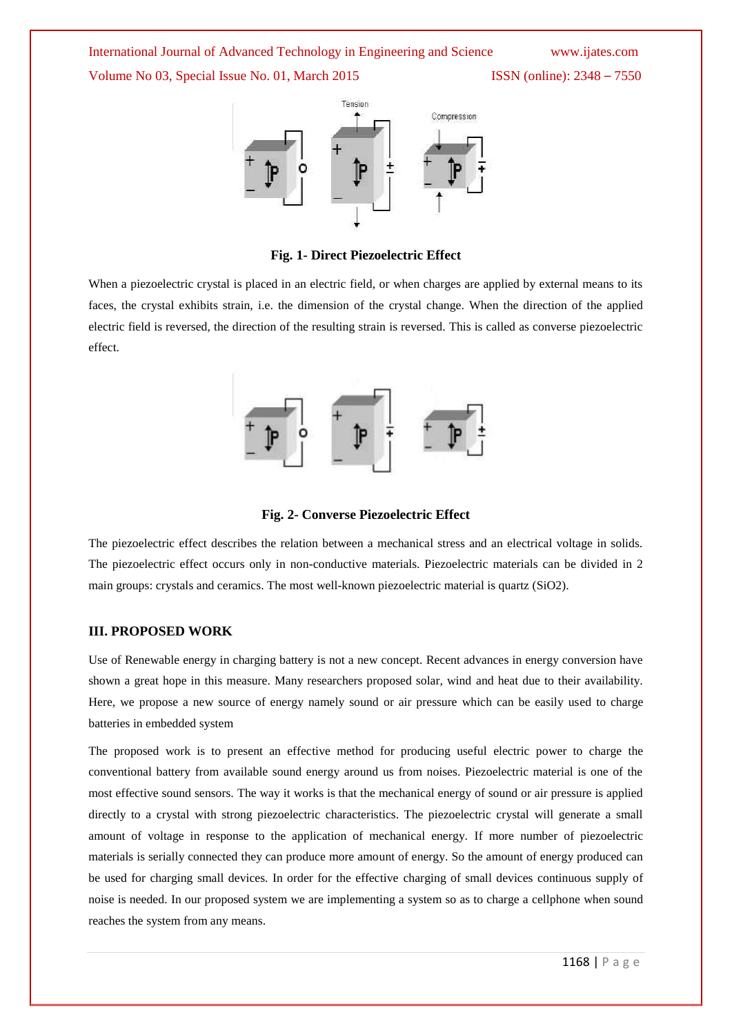International Journal of Advanced Technology in Engineering and Science www.ijates.com Volume No 03, Special Issue No. 01, March 2015 ISSN (online): 2348 – 7550



**Fig. 1- Direct Piezoelectric Effect**

When a piezoelectric crystal is placed in an electric field, or when charges are applied by external means to its faces, the crystal exhibits strain, i.e. the dimension of the crystal change. When the direction of the applied electric field is reversed, the direction of the resulting strain is reversed. This is called as converse piezoelectric effect.



**Fig. 2- Converse Piezoelectric Effect**

The piezoelectric effect describes the relation between a mechanical stress and an electrical voltage in solids. The piezoelectric effect occurs only in non-conductive materials. Piezoelectric materials can be divided in 2 main groups: crystals and ceramics. The most well-known piezoelectric material is quartz (SiO2).

### **III. PROPOSED WORK**

Use of Renewable energy in charging battery is not a new concept. Recent advances in energy conversion have shown a great hope in this measure. Many researchers proposed solar, wind and heat due to their availability. Here, we propose a new source of energy namely sound or air pressure which can be easily used to charge batteries in embedded system

The proposed work is to present an effective method for producing useful electric power to charge the conventional battery from available sound energy around us from noises. Piezoelectric material is one of the most effective sound sensors. The way it works is that the mechanical energy of sound or air pressure is applied directly to a crystal with strong piezoelectric characteristics. The piezoelectric crystal will generate a small amount of voltage in response to the application of mechanical energy. If more number of piezoelectric materials is serially connected they can produce more amount of energy. So the amount of energy produced can be used for charging small devices. In order for the effective charging of small devices continuous supply of noise is needed. In our proposed system we are implementing a system so as to charge a cellphone when sound reaches the system from any means.